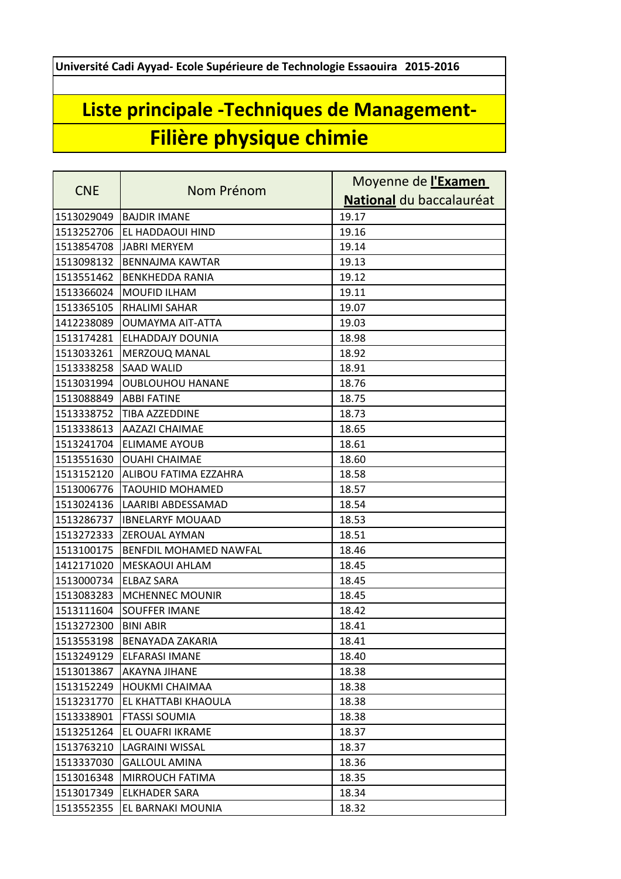**Université Cadi Ayyad- Ecole Supérieure de Technologie Essaouira 2015-2016**

## **Liste principale -Techniques de Management-Filière physique chimie**

| <b>CNE</b> | Nom Prénom                    | Moyenne de l'Examen      |
|------------|-------------------------------|--------------------------|
|            |                               | National du baccalauréat |
| 1513029049 | <b>BAJDIR IMANE</b>           | 19.17                    |
| 1513252706 | EL HADDAOUI HIND              | 19.16                    |
| 1513854708 | <b>JABRI MERYEM</b>           | 19.14                    |
| 1513098132 | <b>BENNAJMA KAWTAR</b>        | 19.13                    |
| 1513551462 | <b>BENKHEDDA RANIA</b>        | 19.12                    |
| 1513366024 | <b>MOUFID ILHAM</b>           | 19.11                    |
| 1513365105 | <b>RHALIMI SAHAR</b>          | 19.07                    |
| 1412238089 | OUMAYMA AIT-ATTA              | 19.03                    |
| 1513174281 | ELHADDAJY DOUNIA              | 18.98                    |
| 1513033261 | <b>MERZOUQ MANAL</b>          | 18.92                    |
| 1513338258 | <b>SAAD WALID</b>             | 18.91                    |
| 1513031994 | <b>OUBLOUHOU HANANE</b>       | 18.76                    |
| 1513088849 | <b>ABBI FATINE</b>            | 18.75                    |
| 1513338752 | <b>TIBA AZZEDDINE</b>         | 18.73                    |
| 1513338613 | <b>AAZAZI CHAIMAE</b>         | 18.65                    |
| 1513241704 | <b>ELIMAME AYOUB</b>          | 18.61                    |
| 1513551630 | <b>OUAHI CHAIMAE</b>          | 18.60                    |
| 1513152120 | ALIBOU FATIMA EZZAHRA         | 18.58                    |
| 1513006776 | <b>TAOUHID MOHAMED</b>        | 18.57                    |
| 1513024136 | LAARIBI ABDESSAMAD            | 18.54                    |
| 1513286737 | <b>IBNELARYF MOUAAD</b>       | 18.53                    |
| 1513272333 | <b>ZEROUAL AYMAN</b>          | 18.51                    |
| 1513100175 | <b>BENFDIL MOHAMED NAWFAL</b> | 18.46                    |
| 1412171020 | MESKAOUI AHLAM                | 18.45                    |
| 1513000734 | <b>ELBAZ SARA</b>             | 18.45                    |
| 1513083283 | <b>MCHENNEC MOUNIR</b>        | 18.45                    |
| 1513111604 | <b>SOUFFER IMANE</b>          | 18.42                    |
| 1513272300 | <b>BINI ABIR</b>              | 18.41                    |
| 1513553198 | <b>BENAYADA ZAKARIA</b>       | 18.41                    |
| 1513249129 | ELFARASI IMANE                | 18.40                    |
| 1513013867 | AKAYNA JIHANE                 | 18.38                    |
| 1513152249 | <b>HOUKMI CHAIMAA</b>         | 18.38                    |
| 1513231770 | EL KHATTABI KHAOULA           | 18.38                    |
| 1513338901 | <b>FTASSI SOUMIA</b>          | 18.38                    |
| 1513251264 | EL OUAFRI IKRAME              | 18.37                    |
| 1513763210 | LAGRAINI WISSAL               | 18.37                    |
| 1513337030 | <b>GALLOUL AMINA</b>          | 18.36                    |
| 1513016348 | MIRROUCH FATIMA               | 18.35                    |
| 1513017349 | ELKHADER SARA                 | 18.34                    |
| 1513552355 | EL BARNAKI MOUNIA             | 18.32                    |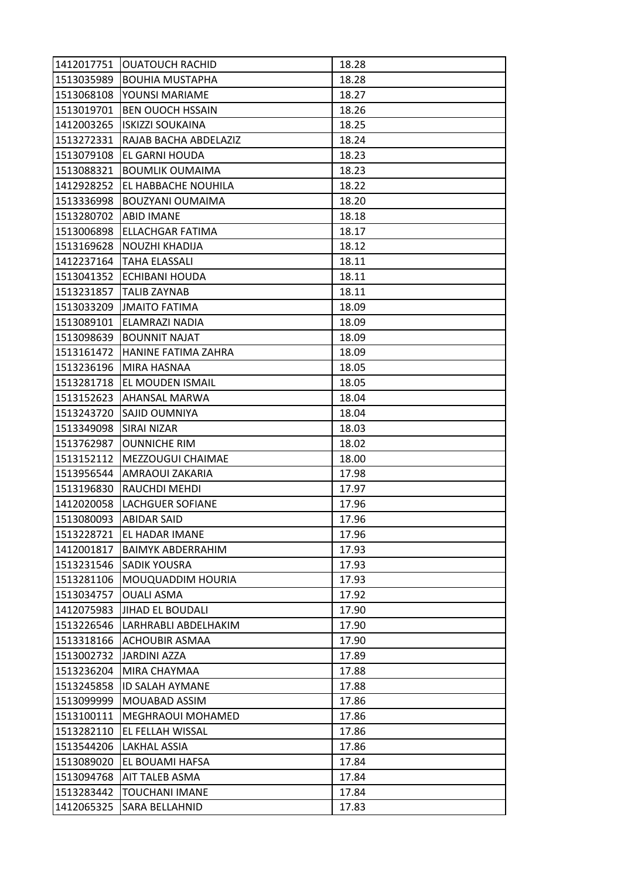| 1412017751            | <b>OUATOUCH RACHID</b>     | 18.28 |
|-----------------------|----------------------------|-------|
| 1513035989            | <b>BOUHIA MUSTAPHA</b>     | 18.28 |
| 1513068108            | YOUNSI MARIAME             | 18.27 |
| 1513019701            | <b>BEN OUOCH HSSAIN</b>    | 18.26 |
| 1412003265            | <b>ISKIZZI SOUKAINA</b>    | 18.25 |
| 1513272331            | RAJAB BACHA ABDELAZIZ      | 18.24 |
| 1513079108            | EL GARNI HOUDA             | 18.23 |
| 1513088321            | <b>BOUMLIK OUMAIMA</b>     | 18.23 |
| 1412928252            | EL HABBACHE NOUHILA        | 18.22 |
| 1513336998            | BOUZYANI OUMAIMA           | 18.20 |
| 1513280702 ABID IMANE |                            | 18.18 |
| 1513006898            | ELLACHGAR FATIMA           | 18.17 |
| 1513169628            | NOUZHI KHADIJA             | 18.12 |
|                       | 1412237164   TAHA ELASSALI | 18.11 |
| 1513041352            | ECHIBANI HOUDA             | 18.11 |
|                       | 1513231857   TALIB ZAYNAB  | 18.11 |
| 1513033209            | JMAITO FATIMA              | 18.09 |
| 1513089101            | ELAMRAZI NADIA             | 18.09 |
| 1513098639            | <b>BOUNNIT NAJAT</b>       | 18.09 |
| 1513161472            | HANINE FATIMA ZAHRA        | 18.09 |
| 1513236196            | MIRA HASNAA                | 18.05 |
| 1513281718            | EL MOUDEN ISMAIL           | 18.05 |
| 1513152623            | AHANSAL MARWA              | 18.04 |
| 1513243720            | SAJID OUMNIYA              | 18.04 |
| 1513349098            | SIRAI NIZAR                | 18.03 |
| 1513762987            | <b>OUNNICHE RIM</b>        | 18.02 |
| 1513152112            | MEZZOUGUI CHAIMAE          | 18.00 |
| 1513956544            | AMRAOUI ZAKARIA            | 17.98 |
| 1513196830            | RAUCHDI MEHDI              | 17.97 |
| 1412020058            | <b>LACHGUER SOFIANE</b>    | 17.96 |
| 1513080093            | <b>ABIDAR SAID</b>         | 17.96 |
| 1513228721            | EL HADAR IMANE             | 17.96 |
| 1412001817            | <b>BAIMYK ABDERRAHIM</b>   | 17.93 |
| 1513231546            | SADIK YOUSRA               | 17.93 |
| 1513281106            | MOUQUADDIM HOURIA          | 17.93 |
| 1513034757            | <b>OUALI ASMA</b>          | 17.92 |
| 1412075983            | <b>JIHAD EL BOUDALI</b>    | 17.90 |
| 1513226546            | LARHRABLI ABDELHAKIM       | 17.90 |
| 1513318166            | ACHOUBIR ASMAA             | 17.90 |
| 1513002732            | <b>JARDINI AZZA</b>        | 17.89 |
| 1513236204            | MIRA CHAYMAA               | 17.88 |
| 1513245858            | <b>ID SALAH AYMANE</b>     | 17.88 |
| 1513099999            | MOUABAD ASSIM              | 17.86 |
| 1513100111            | <b>MEGHRAOUI MOHAMED</b>   | 17.86 |
| 1513282110            | EL FELLAH WISSAL           | 17.86 |
| 1513544206            | LAKHAL ASSIA               | 17.86 |
| 1513089020            | EL BOUAMI HAFSA            | 17.84 |
| 1513094768            | AIT TALEB ASMA             | 17.84 |
| 1513283442            | <b>TOUCHANI IMANE</b>      | 17.84 |
| 1412065325            | SARA BELLAHNID             | 17.83 |
|                       |                            |       |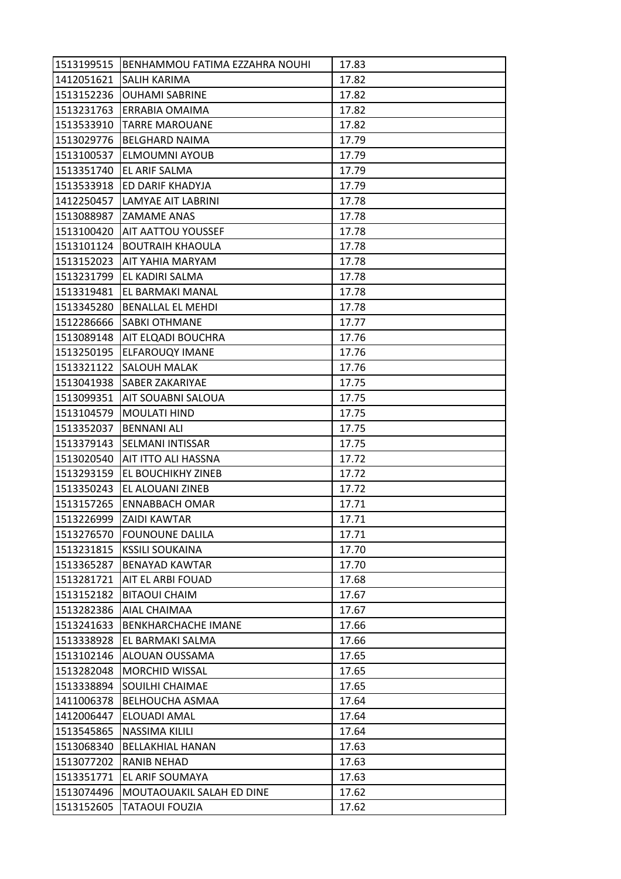| 1513199515 | BENHAMMOU FATIMA EZZAHRA NOUHI  | 17.83 |
|------------|---------------------------------|-------|
| 1412051621 | SALIH KARIMA                    | 17.82 |
| 1513152236 | <b>OUHAMI SABRINE</b>           | 17.82 |
| 1513231763 | ERRABIA OMAIMA                  | 17.82 |
| 1513533910 | <b>TARRE MAROUANE</b>           | 17.82 |
| 1513029776 | <b>BELGHARD NAIMA</b>           | 17.79 |
| 1513100537 | <b>ELMOUMNI AYOUB</b>           | 17.79 |
| 1513351740 | EL ARIF SALMA                   | 17.79 |
| 1513533918 | ED DARIF KHADYJA                | 17.79 |
| 1412250457 | LAMYAE AIT LABRINI              | 17.78 |
|            | 1513088987 ZAMAME ANAS          | 17.78 |
| 1513100420 | <b>AIT AATTOU YOUSSEF</b>       | 17.78 |
| 1513101124 | <b>BOUTRAIH KHAOULA</b>         | 17.78 |
| 1513152023 | <b>AIT YAHIA MARYAM</b>         | 17.78 |
| 1513231799 | EL KADIRI SALMA                 | 17.78 |
|            | 1513319481   EL BARMAKI MANAL   | 17.78 |
| 1513345280 | <b>BENALLAL EL MEHDI</b>        | 17.78 |
| 1512286666 | <b>SABKI OTHMANE</b>            | 17.77 |
|            | 1513089148   AIT ELQADI BOUCHRA | 17.76 |
| 1513250195 | ELFAROUQY IMANE                 | 17.76 |
| 1513321122 | <b>SALOUH MALAK</b>             | 17.76 |
| 1513041938 | SABER ZAKARIYAE                 | 17.75 |
| 1513099351 | AIT SOUABNI SALOUA              | 17.75 |
| 1513104579 | <b>MOULATI HIND</b>             | 17.75 |
| 1513352037 | <b>BENNANI ALI</b>              | 17.75 |
| 1513379143 | <b>SELMANI INTISSAR</b>         | 17.75 |
| 1513020540 | AIT ITTO ALI HASSNA             | 17.72 |
| 1513293159 | EL BOUCHIKHY ZINEB              | 17.72 |
| 1513350243 | EL ALOUANI ZINEB                | 17.72 |
| 1513157265 | <b>ENNABBACH OMAR</b>           | 17.71 |
| 1513226999 | <b>ZAIDI KAWTAR</b>             | 17.71 |
| 1513276570 | <b>FOUNOUNE DALILA</b>          | 17.71 |
| 1513231815 | <b>KSSILI SOUKAINA</b>          | 17.70 |
| 1513365287 | <b>BENAYAD KAWTAR</b>           | 17.70 |
| 1513281721 | AIT EL ARBI FOUAD               | 17.68 |
| 1513152182 | <b>BITAOUI CHAIM</b>            | 17.67 |
| 1513282386 | AIAL CHAIMAA                    | 17.67 |
| 1513241633 | BENKHARCHACHE IMANE             | 17.66 |
| 1513338928 | EL BARMAKI SALMA                | 17.66 |
| 1513102146 | ALOUAN OUSSAMA                  | 17.65 |
| 1513282048 | <b>MORCHID WISSAL</b>           | 17.65 |
| 1513338894 | SOUILHI CHAIMAE                 | 17.65 |
| 1411006378 | <b>BELHOUCHA ASMAA</b>          | 17.64 |
| 1412006447 | ELOUADI AMAL                    | 17.64 |
| 1513545865 | NASSIMA KILILI                  | 17.64 |
| 1513068340 | <b>BELLAKHIAL HANAN</b>         | 17.63 |
| 1513077202 | <b>RANIB NEHAD</b>              | 17.63 |
| 1513351771 | EL ARIF SOUMAYA                 | 17.63 |
| 1513074496 | MOUTAOUAKIL SALAH ED DINE       | 17.62 |
| 1513152605 | TATAOUI FOUZIA                  | 17.62 |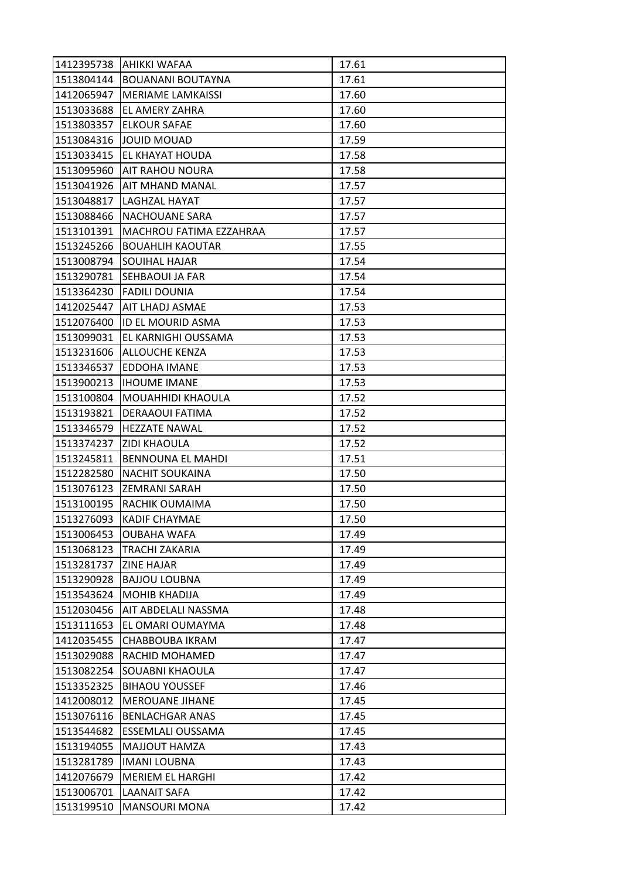| 1412395738 | <b>AHIKKI WAFAA</b>      | 17.61 |
|------------|--------------------------|-------|
| 1513804144 | <b>BOUANANI BOUTAYNA</b> | 17.61 |
| 1412065947 | <b>MERIAME LAMKAISSI</b> | 17.60 |
| 1513033688 | EL AMERY ZAHRA           | 17.60 |
| 1513803357 | <b>ELKOUR SAFAE</b>      | 17.60 |
| 1513084316 | JOUID MOUAD              | 17.59 |
| 1513033415 | EL KHAYAT HOUDA          | 17.58 |
| 1513095960 | <b>AIT RAHOU NOURA</b>   | 17.58 |
| 1513041926 | <b>AIT MHAND MANAL</b>   | 17.57 |
| 1513048817 | LAGHZAL HAYAT            | 17.57 |
| 1513088466 | <b>NACHOUANE SARA</b>    | 17.57 |
| 1513101391 | MACHROU FATIMA EZZAHRAA  | 17.57 |
| 1513245266 | <b>BOUAHLIH KAOUTAR</b>  | 17.55 |
| 1513008794 | <b>SOUIHAL HAJAR</b>     | 17.54 |
| 1513290781 | SEHBAOUI JA FAR          | 17.54 |
| 1513364230 | <b>FADILI DOUNIA</b>     | 17.54 |
| 1412025447 | AIT LHADJ ASMAE          | 17.53 |
| 1512076400 | ID EL MOURID ASMA        | 17.53 |
| 1513099031 | EL KARNIGHI OUSSAMA      | 17.53 |
| 1513231606 | ALLOUCHE KENZA           | 17.53 |
| 1513346537 | EDDOHA IMANE             | 17.53 |
| 1513900213 | <b>IHOUME IMANE</b>      | 17.53 |
| 1513100804 | MOUAHHIDI KHAOULA        | 17.52 |
| 1513193821 | DERAAOUI FATIMA          | 17.52 |
| 1513346579 | <b>HEZZATE NAWAL</b>     | 17.52 |
| 1513374237 | <b>ZIDI KHAOULA</b>      | 17.52 |
| 1513245811 | <b>BENNOUNA EL MAHDI</b> | 17.51 |
| 1512282580 | <b>NACHIT SOUKAINA</b>   | 17.50 |
| 1513076123 | <b>ZEMRANI SARAH</b>     | 17.50 |
| 1513100195 | RACHIK OUMAIMA           | 17.50 |
| 1513276093 | <b>KADIF CHAYMAE</b>     | 17.50 |
| 1513006453 | <b>OUBAHA WAFA</b>       | 17.49 |
| 1513068123 | TRACHI ZAKARIA           | 17.49 |
| 1513281737 | <b>ZINE HAJAR</b>        | 17.49 |
| 1513290928 | <b>BAJJOU LOUBNA</b>     | 17.49 |
| 1513543624 | <b>MOHIB KHADIJA</b>     | 17.49 |
| 1512030456 | AIT ABDELALI NASSMA      | 17.48 |
| 1513111653 | EL OMARI OUMAYMA         | 17.48 |
| 1412035455 | CHABBOUBA IKRAM          | 17.47 |
| 1513029088 | RACHID MOHAMED           | 17.47 |
| 1513082254 | SOUABNI KHAOULA          | 17.47 |
| 1513352325 | <b>BIHAOU YOUSSEF</b>    | 17.46 |
| 1412008012 | <b>MEROUANE JIHANE</b>   | 17.45 |
| 1513076116 | <b>BENLACHGAR ANAS</b>   | 17.45 |
| 1513544682 | ESSEMLALI OUSSAMA        | 17.45 |
| 1513194055 | MAJJOUT HAMZA            | 17.43 |
| 1513281789 | <b>IMANI LOUBNA</b>      | 17.43 |
| 1412076679 | <b>MERIEM EL HARGHI</b>  | 17.42 |
| 1513006701 | <b>LAANAIT SAFA</b>      | 17.42 |
| 1513199510 | <b>MANSOURI MONA</b>     | 17.42 |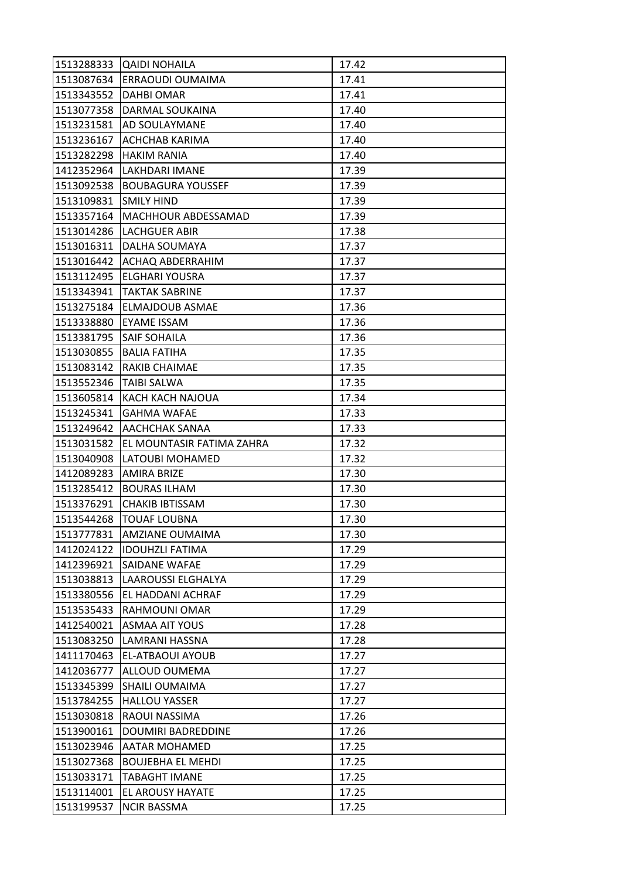| 1513288333 | <b>QAIDI NOHAILA</b>        | 17.42 |
|------------|-----------------------------|-------|
| 1513087634 | ERRAOUDI OUMAIMA            | 17.41 |
| 1513343552 | DAHBI OMAR                  | 17.41 |
| 1513077358 | DARMAL SOUKAINA             | 17.40 |
| 1513231581 | <b>AD SOULAYMANE</b>        | 17.40 |
| 1513236167 | <b>ACHCHAB KARIMA</b>       | 17.40 |
| 1513282298 | <b>HAKIM RANIA</b>          | 17.40 |
| 1412352964 | LAKHDARI IMANE              | 17.39 |
| 1513092538 | <b>BOUBAGURA YOUSSEF</b>    | 17.39 |
| 1513109831 | <b>SMILY HIND</b>           | 17.39 |
| 1513357164 | MACHHOUR ABDESSAMAD         | 17.39 |
| 1513014286 | LACHGUER ABIR               | 17.38 |
| 1513016311 | DALHA SOUMAYA               | 17.37 |
| 1513016442 | <b>ACHAQ ABDERRAHIM</b>     | 17.37 |
| 1513112495 | ELGHARI YOUSRA              | 17.37 |
|            | 1513343941   TAKTAK SABRINE | 17.37 |
| 1513275184 | ELMAJDOUB ASMAE             | 17.36 |
| 1513338880 | EYAME ISSAM                 | 17.36 |
| 1513381795 | <b>SAIF SOHAILA</b>         | 17.36 |
| 1513030855 | <b>BALIA FATIHA</b>         | 17.35 |
| 1513083142 | <b>RAKIB CHAIMAE</b>        | 17.35 |
| 1513552346 | <b>TAIBI SALWA</b>          | 17.35 |
| 1513605814 | KACH KACH NAJOUA            | 17.34 |
| 1513245341 | <b>GAHMA WAFAE</b>          | 17.33 |
| 1513249642 | <b>AACHCHAK SANAA</b>       | 17.33 |
| 1513031582 | EL MOUNTASIR FATIMA ZAHRA   | 17.32 |
| 1513040908 | LATOUBI MOHAMED             | 17.32 |
| 1412089283 | <b>AMIRA BRIZE</b>          | 17.30 |
|            |                             |       |
| 1513285412 | <b>BOURAS ILHAM</b>         | 17.30 |
| 1513376291 | <b>CHAKIB IBTISSAM</b>      | 17.30 |
| 1513544268 | <b>TOUAF LOUBNA</b>         | 17.30 |
| 1513777831 | <b>AMZIANE OUMAIMA</b>      | 17.30 |
| 1412024122 | <b>IDOUHZLI FATIMA</b>      | 17.29 |
| 1412396921 | SAIDANE WAFAE               | 17.29 |
| 1513038813 | LAAROUSSI ELGHALYA          | 17.29 |
| 1513380556 | EL HADDANI ACHRAF           | 17.29 |
| 1513535433 | RAHMOUNI OMAR               | 17.29 |
| 1412540021 | <b>ASMAA AIT YOUS</b>       | 17.28 |
| 1513083250 | LAMRANI HASSNA              | 17.28 |
| 1411170463 | EL-ATBAOUI AYOUB            | 17.27 |
| 1412036777 | ALLOUD OUMEMA               | 17.27 |
| 1513345399 | <b>SHAILI OUMAIMA</b>       | 17.27 |
| 1513784255 | <b>HALLOU YASSER</b>        | 17.27 |
| 1513030818 | RAOUI NASSIMA               | 17.26 |
| 1513900161 | DOUMIRI BADREDDINE          | 17.26 |
| 1513023946 | <b>AATAR MOHAMED</b>        | 17.25 |
| 1513027368 | <b>BOUJEBHA EL MEHDI</b>    | 17.25 |
| 1513033171 | <b>TABAGHT IMANE</b>        | 17.25 |
| 1513114001 | EL AROUSY HAYATE            | 17.25 |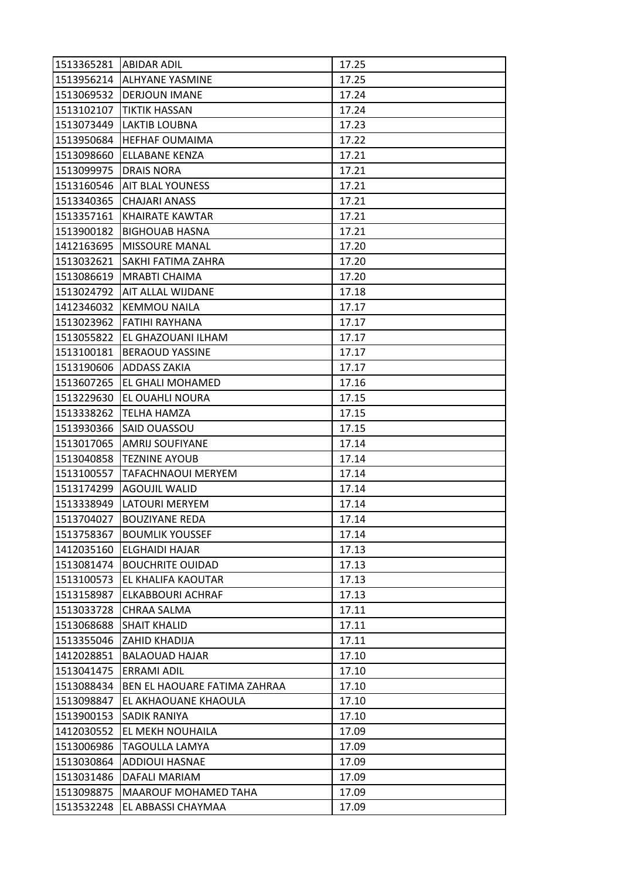| 1513365281 ABIDAR ADIL |                              | 17.25 |
|------------------------|------------------------------|-------|
|                        | 1513956214 ALHYANE YASMINE   | 17.25 |
| 1513069532             | <b>DERJOUN IMANE</b>         | 17.24 |
| 1513102107             | <b>TIKTIK HASSAN</b>         | 17.24 |
| 1513073449             | <b>LAKTIB LOUBNA</b>         | 17.23 |
| 1513950684             | <b>HEFHAF OUMAIMA</b>        | 17.22 |
| 1513098660             | ELLABANE KENZA               | 17.21 |
| 1513099975             | <b>DRAIS NORA</b>            | 17.21 |
| 1513160546             | <b>AIT BLAL YOUNESS</b>      | 17.21 |
| 1513340365             | <b>CHAJARI ANASS</b>         | 17.21 |
| 1513357161             | <b>KHAIRATE KAWTAR</b>       | 17.21 |
| 1513900182             | <b>BIGHOUAB HASNA</b>        | 17.21 |
| 1412163695             | <b>MISSOURE MANAL</b>        | 17.20 |
| 1513032621             | SAKHI FATIMA ZAHRA           | 17.20 |
| 1513086619             | <b>MRABTI CHAIMA</b>         | 17.20 |
|                        | 1513024792 AIT ALLAL WIJDANE | 17.18 |
| 1412346032             | <b>KEMMOU NAILA</b>          | 17.17 |
| 1513023962             | FATIHI RAYHANA               | 17.17 |
| 1513055822             | EL GHAZOUANI ILHAM           | 17.17 |
| 1513100181             | <b>BERAOUD YASSINE</b>       | 17.17 |
| 1513190606             | <b>ADDASS ZAKIA</b>          | 17.17 |
| 1513607265             | EL GHALI MOHAMED             | 17.16 |
| 1513229630             | EL OUAHLI NOURA              | 17.15 |
| 1513338262             | <b>TELHA HAMZA</b>           | 17.15 |
| 1513930366             | SAID OUASSOU                 | 17.15 |
| 1513017065             | AMRIJ SOUFIYANE              | 17.14 |
| 1513040858             | <b>TEZNINE AYOUB</b>         | 17.14 |
| 1513100557             | <b>TAFACHNAOUI MERYEM</b>    | 17.14 |
| 1513174299             | <b>AGOUJIL WALID</b>         | 17.14 |
| 1513338949             | LATOURI MERYEM               | 17.14 |
| 1513704027             | <b>BOUZIYANE REDA</b>        | 17.14 |
| 1513758367             | <b>BOUMLIK YOUSSEF</b>       | 17.14 |
| 1412035160             | <b>ELGHAIDI HAJAR</b>        | 17.13 |
| 1513081474             | <b>BOUCHRITE OUIDAD</b>      | 17.13 |
| 1513100573             | EL KHALIFA KAOUTAR           | 17.13 |
| 1513158987             | ELKABBOURI ACHRAF            | 17.13 |
| 1513033728             | CHRAA SALMA                  | 17.11 |
| 1513068688             | <b>SHAIT KHALID</b>          | 17.11 |
| 1513355046             | ZAHID KHADIJA                | 17.11 |
| 1412028851             | <b>BALAOUAD HAJAR</b>        | 17.10 |
| 1513041475             | <b>ERRAMI ADIL</b>           | 17.10 |
| 1513088434             | BEN EL HAOUARE FATIMA ZAHRAA | 17.10 |
| 1513098847             | EL AKHAOUANE KHAOULA         | 17.10 |
| 1513900153             | SADIK RANIYA                 | 17.10 |
| 1412030552             | EL MEKH NOUHAILA             | 17.09 |
| 1513006986             | TAGOULLA LAMYA               | 17.09 |
| 1513030864             | <b>ADDIOUI HASNAE</b>        | 17.09 |
| 1513031486             | DAFALI MARIAM                | 17.09 |
| 1513098875             | MAAROUF MOHAMED TAHA         | 17.09 |
| 1513532248             | EL ABBASSI CHAYMAA           | 17.09 |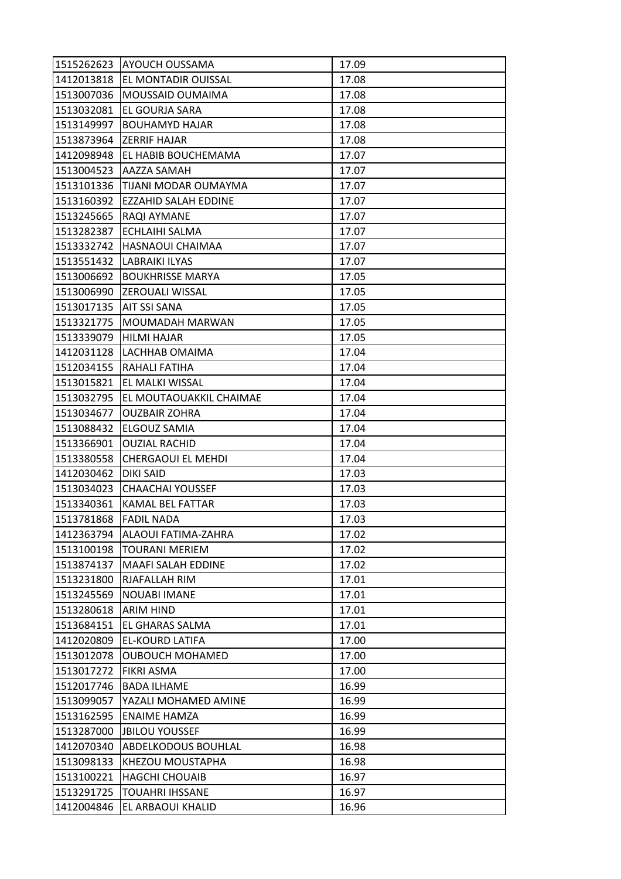| 1515262623 | <b>AYOUCH OUSSAMA</b>       | 17.09 |
|------------|-----------------------------|-------|
| 1412013818 | <b>EL MONTADIR OUISSAL</b>  | 17.08 |
| 1513007036 | <b>MOUSSAID OUMAIMA</b>     | 17.08 |
| 1513032081 | EL GOURJA SARA              | 17.08 |
| 1513149997 | <b>BOUHAMYD HAJAR</b>       | 17.08 |
| 1513873964 | IZERRIF HAJAR               | 17.08 |
| 1412098948 | <b>EL HABIB BOUCHEMAMA</b>  | 17.07 |
| 1513004523 | AAZZA SAMAH                 | 17.07 |
| 1513101336 | TIJANI MODAR OUMAYMA        | 17.07 |
| 1513160392 | <b>EZZAHID SALAH EDDINE</b> | 17.07 |
| 1513245665 | RAQI AYMANE                 | 17.07 |
| 1513282387 | ECHLAIHI SALMA              | 17.07 |
| 1513332742 | HASNAOUI CHAIMAA            | 17.07 |
| 1513551432 | LABRAIKI ILYAS              | 17.07 |
| 1513006692 | <b>BOUKHRISSE MARYA</b>     | 17.05 |
| 1513006990 | <b>IZEROUALI WISSAL</b>     | 17.05 |
| 1513017135 | AIT SSI SANA                | 17.05 |
| 1513321775 | <b>MOUMADAH MARWAN</b>      | 17.05 |
| 1513339079 | <b>HILMI HAJAR</b>          | 17.05 |
| 1412031128 | LACHHAB OMAIMA              | 17.04 |
| 1512034155 | <b>RAHALI FATIHA</b>        | 17.04 |
| 1513015821 | EL MALKI WISSAL             | 17.04 |
| 1513032795 | EL MOUTAOUAKKIL CHAIMAE     | 17.04 |
| 1513034677 | <b>OUZBAIR ZOHRA</b>        | 17.04 |
| 1513088432 | ELGOUZ SAMIA                | 17.04 |
| 1513366901 | <b>OUZIAL RACHID</b>        | 17.04 |
| 1513380558 | <b>CHERGAOUI EL MEHDI</b>   | 17.04 |
| 1412030462 | DIKI SAID                   | 17.03 |
| 1513034023 | <b>CHAACHAI YOUSSEF</b>     | 17.03 |
| 1513340361 | KAMAL BEL FATTAR            | 17.03 |
| 1513781868 | <b>FADIL NADA</b>           | 17.03 |
| 1412363794 | ALAOUI FATIMA-ZAHRA         | 17.02 |
| 1513100198 | <b>TOURANI MERIEM</b>       | 17.02 |
| 1513874137 | <b>MAAFI SALAH EDDINE</b>   | 17.02 |
| 1513231800 | RJAFALLAH RIM               | 17.01 |
| 1513245569 | <b>NOUABI IMANE</b>         | 17.01 |
| 1513280618 | <b>ARIM HIND</b>            | 17.01 |
| 1513684151 | EL GHARAS SALMA             | 17.01 |
| 1412020809 | EL-KOURD LATIFA             | 17.00 |
| 1513012078 | <b>OUBOUCH MOHAMED</b>      | 17.00 |
| 1513017272 | <b>FIKRI ASMA</b>           | 17.00 |
| 1512017746 | <b>BADA ILHAME</b>          | 16.99 |
| 1513099057 | YAZALI MOHAMED AMINE        | 16.99 |
| 1513162595 | <b>ENAIME HAMZA</b>         | 16.99 |
| 1513287000 | <b>JBILOU YOUSSEF</b>       | 16.99 |
| 1412070340 | <b>ABDELKODOUS BOUHLAL</b>  | 16.98 |
| 1513098133 | KHEZOU MOUSTAPHA            | 16.98 |
| 1513100221 | <b>HAGCHI CHOUAIB</b>       | 16.97 |
| 1513291725 | <b>TOUAHRI IHSSANE</b>      | 16.97 |
| 1412004846 | EL ARBAOUI KHALID           | 16.96 |
|            |                             |       |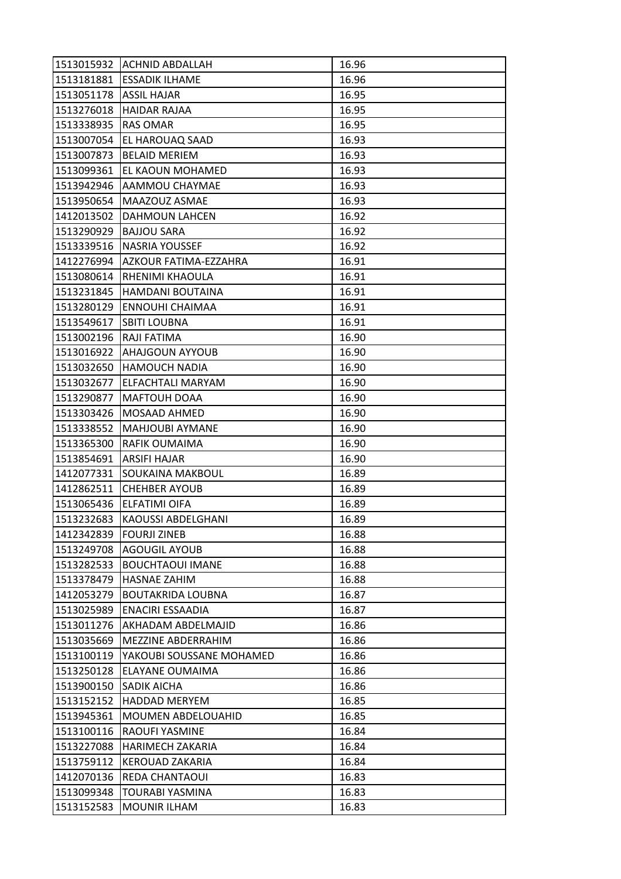|            | 1513015932 ACHNID ABDALLAH   | 16.96 |
|------------|------------------------------|-------|
| 1513181881 | <b>ESSADIK ILHAME</b>        | 16.96 |
| 1513051178 | <b>ASSIL HAJAR</b>           | 16.95 |
| 1513276018 | <b>HAIDAR RAJAA</b>          | 16.95 |
| 1513338935 | <b>RAS OMAR</b>              | 16.95 |
| 1513007054 | EL HAROUAQ SAAD              | 16.93 |
| 1513007873 | <b>BELAID MERIEM</b>         | 16.93 |
| 1513099361 | EL KAOUN MOHAMED             | 16.93 |
| 1513942946 | AAMMOU CHAYMAE               | 16.93 |
| 1513950654 | MAAZOUZ ASMAE                | 16.93 |
| 1412013502 | DAHMOUN LAHCEN               | 16.92 |
| 1513290929 | <b>BAJJOU SARA</b>           | 16.92 |
| 1513339516 | NASRIA YOUSSEF               | 16.92 |
| 1412276994 | <b>AZKOUR FATIMA-EZZAHRA</b> | 16.91 |
| 1513080614 | RHENIMI KHAOULA              | 16.91 |
| 1513231845 | HAMDANI BOUTAINA             | 16.91 |
| 1513280129 | <b>ENNOUHI CHAIMAA</b>       | 16.91 |
| 1513549617 | <b>SBITI LOUBNA</b>          | 16.91 |
| 1513002196 | RAJI FATIMA                  | 16.90 |
| 1513016922 | AHAJGOUN AYYOUB              | 16.90 |
| 1513032650 | <b>HAMOUCH NADIA</b>         | 16.90 |
| 1513032677 | ELFACHTALI MARYAM            | 16.90 |
| 1513290877 | MAFTOUH DOAA                 | 16.90 |
| 1513303426 | <b>MOSAAD AHMED</b>          | 16.90 |
| 1513338552 | MAHJOUBI AYMANE              | 16.90 |
| 1513365300 | RAFIK OUMAIMA                | 16.90 |
| 1513854691 | <b>ARSIFI HAJAR</b>          | 16.90 |
| 1412077331 | <b>SOUKAINA MAKBOUL</b>      | 16.89 |
| 1412862511 | <b>CHEHBER AYOUB</b>         | 16.89 |
| 1513065436 | <b>ELFATIMI OIFA</b>         | 16.89 |
| 1513232683 | KAOUSSI ABDELGHANI           | 16.89 |
| 1412342839 | <b>FOURJI ZINEB</b>          | 16.88 |
| 1513249708 | <b>AGOUGIL AYOUB</b>         | 16.88 |
| 1513282533 | <b>BOUCHTAOUI IMANE</b>      | 16.88 |
| 1513378479 | <b>HASNAE ZAHIM</b>          | 16.88 |
| 1412053279 | <b>BOUTAKRIDA LOUBNA</b>     | 16.87 |
| 1513025989 | ENACIRI ESSAADIA             | 16.87 |
| 1513011276 | <b>AKHADAM ABDELMAJID</b>    | 16.86 |
| 1513035669 | MEZZINE ABDERRAHIM           | 16.86 |
| 1513100119 | YAKOUBI SOUSSANE MOHAMED     | 16.86 |
| 1513250128 | ELAYANE OUMAIMA              | 16.86 |
| 1513900150 | SADIK AICHA                  | 16.86 |
| 1513152152 | <b>HADDAD MERYEM</b>         | 16.85 |
| 1513945361 | <b>MOUMEN ABDELOUAHID</b>    | 16.85 |
| 1513100116 | RAOUFI YASMINE               | 16.84 |
| 1513227088 | <b>HARIMECH ZAKARIA</b>      | 16.84 |
| 1513759112 | KEROUAD ZAKARIA              | 16.84 |
| 1412070136 | REDA CHANTAOUI               | 16.83 |
| 1513099348 | TOURABI YASMINA              | 16.83 |
| 1513152583 | <b>MOUNIR ILHAM</b>          | 16.83 |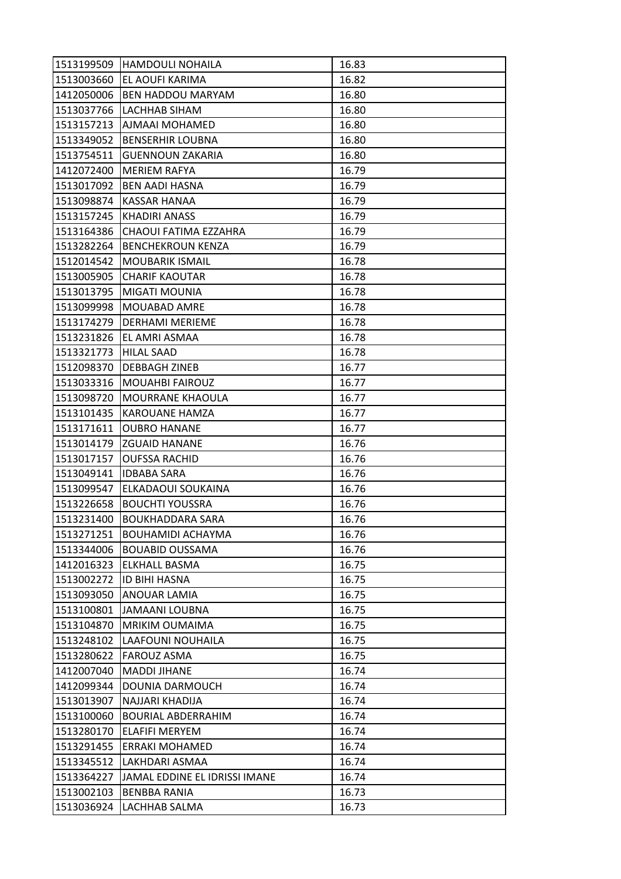| 1513199509 | <b>HAMDOULI NOHAILA</b>       | 16.83 |
|------------|-------------------------------|-------|
| 1513003660 | EL AOUFI KARIMA               | 16.82 |
| 1412050006 | <b>BEN HADDOU MARYAM</b>      | 16.80 |
| 1513037766 | LACHHAB SIHAM                 | 16.80 |
| 1513157213 | AJMAAI MOHAMED                | 16.80 |
| 1513349052 | <b>BENSERHIR LOUBNA</b>       | 16.80 |
| 1513754511 | <b>GUENNOUN ZAKARIA</b>       | 16.80 |
| 1412072400 | <b>MERIEM RAFYA</b>           | 16.79 |
| 1513017092 | <b>BEN AADI HASNA</b>         | 16.79 |
| 1513098874 | <b>KASSAR HANAA</b>           | 16.79 |
| 1513157245 | <b>KHADIRI ANASS</b>          | 16.79 |
| 1513164386 | CHAOUI FATIMA EZZAHRA         | 16.79 |
| 1513282264 | <b>BENCHEKROUN KENZA</b>      | 16.79 |
| 1512014542 | <b>MOUBARIK ISMAIL</b>        | 16.78 |
| 1513005905 | <b>CHARIF KAOUTAR</b>         | 16.78 |
| 1513013795 | MIGATI MOUNIA                 | 16.78 |
| 1513099998 | MOUABAD AMRE                  | 16.78 |
| 1513174279 | DERHAMI MERIEME               | 16.78 |
| 1513231826 | EL AMRI ASMAA                 | 16.78 |
| 1513321773 | <b>HILAL SAAD</b>             | 16.78 |
| 1512098370 | <b>DEBBAGH ZINEB</b>          | 16.77 |
| 1513033316 | <b>MOUAHBI FAIROUZ</b>        | 16.77 |
| 1513098720 | MOURRANE KHAOULA              | 16.77 |
| 1513101435 | KAROUANE HAMZA                | 16.77 |
| 1513171611 | <b>OUBRO HANANE</b>           | 16.77 |
| 1513014179 | <b>ZGUAID HANANE</b>          | 16.76 |
| 1513017157 | <b>OUFSSA RACHID</b>          | 16.76 |
| 1513049141 | <b>IDBABA SARA</b>            | 16.76 |
| 1513099547 | ELKADAOUI SOUKAINA            | 16.76 |
| 1513226658 | <b>BOUCHTI YOUSSRA</b>        | 16.76 |
| 1513231400 | <b>BOUKHADDARA SARA</b>       | 16.76 |
| 1513271251 | <b>BOUHAMIDI ACHAYMA</b>      | 16.76 |
| 1513344006 | <b>BOUABID OUSSAMA</b>        | 16.76 |
| 1412016323 | ELKHALL BASMA                 | 16.75 |
| 1513002272 | <b>ID BIHI HASNA</b>          | 16.75 |
| 1513093050 | <b>ANOUAR LAMIA</b>           | 16.75 |
| 1513100801 | JAMAANI LOUBNA                | 16.75 |
| 1513104870 | <b>MRIKIM OUMAIMA</b>         | 16.75 |
| 1513248102 | LAAFOUNI NOUHAILA             | 16.75 |
| 1513280622 | <b>FAROUZ ASMA</b>            | 16.75 |
| 1412007040 | <b>MADDI JIHANE</b>           | 16.74 |
| 1412099344 | DOUNIA DARMOUCH               | 16.74 |
| 1513013907 | NAJJARI KHADIJA               | 16.74 |
| 1513100060 | <b>BOURIAL ABDERRAHIM</b>     | 16.74 |
| 1513280170 | <b>ELAFIFI MERYEM</b>         | 16.74 |
| 1513291455 | <b>ERRAKI MOHAMED</b>         | 16.74 |
| 1513345512 | LAKHDARI ASMAA                | 16.74 |
| 1513364227 | JAMAL EDDINE EL IDRISSI IMANE | 16.74 |
| 1513002103 | <b>BENBBA RANIA</b>           | 16.73 |
| 1513036924 | LACHHAB SALMA                 | 16.73 |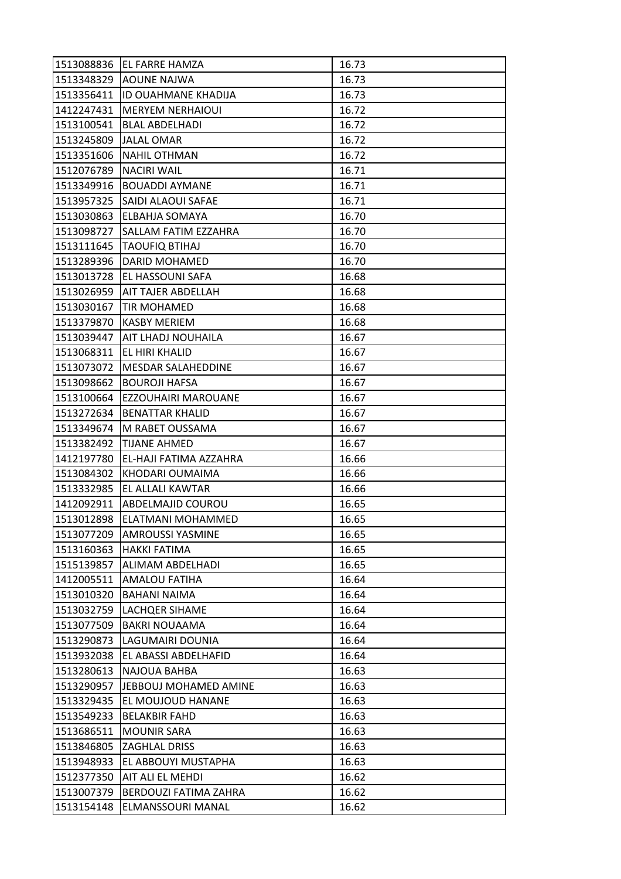| 1513088836 | EL FARRE HAMZA             | 16.73 |
|------------|----------------------------|-------|
| 1513348329 | <b>AOUNE NAJWA</b>         | 16.73 |
| 1513356411 | <b>ID OUAHMANE KHADIJA</b> | 16.73 |
| 1412247431 | <b>MERYEM NERHAIOUI</b>    | 16.72 |
| 1513100541 | <b>BLAL ABDELHADI</b>      | 16.72 |
| 1513245809 | <b>JALAL OMAR</b>          | 16.72 |
| 1513351606 | <b>NAHIL OTHMAN</b>        | 16.72 |
| 1512076789 | <b>NACIRI WAIL</b>         | 16.71 |
| 1513349916 | <b>BOUADDI AYMANE</b>      | 16.71 |
| 1513957325 | SAIDI ALAOUI SAFAE         | 16.71 |
| 1513030863 | ELBAHJA SOMAYA             | 16.70 |
| 1513098727 | SALLAM FATIM EZZAHRA       | 16.70 |
| 1513111645 | <b>TAOUFIQ BTIHAJ</b>      | 16.70 |
| 1513289396 | DARID MOHAMED              | 16.70 |
| 1513013728 | EL HASSOUNI SAFA           | 16.68 |
| 1513026959 | <b>AIT TAJER ABDELLAH</b>  | 16.68 |
| 1513030167 | <b>TIR MOHAMED</b>         | 16.68 |
| 1513379870 | <b>KASBY MERIEM</b>        | 16.68 |
| 1513039447 | <b>AIT LHADJ NOUHAILA</b>  | 16.67 |
| 1513068311 | EL HIRI KHALID             | 16.67 |
| 1513073072 | MESDAR SALAHEDDINE         | 16.67 |
| 1513098662 | <b>BOUROJI HAFSA</b>       | 16.67 |
| 1513100664 | EZZOUHAIRI MAROUANE        | 16.67 |
| 1513272634 | <b>BENATTAR KHALID</b>     | 16.67 |
| 1513349674 | M RABET OUSSAMA            | 16.67 |
| 1513382492 | <b>TIJANE AHMED</b>        | 16.67 |
| 1412197780 | EL-HAJI FATIMA AZZAHRA     | 16.66 |
| 1513084302 | KHODARI OUMAIMA            | 16.66 |
| 1513332985 | EL ALLALI KAWTAR           | 16.66 |
| 1412092911 | <b>ABDELMAJID COUROU</b>   | 16.65 |
| 1513012898 | ELATMANI MOHAMMED          | 16.65 |
| 1513077209 | <b>AMROUSSI YASMINE</b>    | 16.65 |
| 1513160363 | <b>HAKKI FATIMA</b>        | 16.65 |
| 1515139857 | ALIMAM ABDELHADI           | 16.65 |
| 1412005511 | AMALOU FATIHA              | 16.64 |
| 1513010320 | <b>BAHANI NAIMA</b>        | 16.64 |
| 1513032759 | LACHQER SIHAME             | 16.64 |
| 1513077509 | <b>BAKRI NOUAAMA</b>       | 16.64 |
| 1513290873 | LAGUMAIRI DOUNIA           | 16.64 |
| 1513932038 | EL ABASSI ABDELHAFID       | 16.64 |
| 1513280613 | <b>NAJOUA BAHBA</b>        | 16.63 |
| 1513290957 | JEBBOUJ MOHAMED AMINE      | 16.63 |
| 1513329435 | EL MOUJOUD HANANE          | 16.63 |
| 1513549233 | <b>BELAKBIR FAHD</b>       | 16.63 |
| 1513686511 | <b>MOUNIR SARA</b>         | 16.63 |
| 1513846805 | <b>ZAGHLAL DRISS</b>       | 16.63 |
| 1513948933 | EL ABBOUYI MUSTAPHA        | 16.63 |
| 1512377350 | AIT ALI EL MEHDI           | 16.62 |
| 1513007379 | BERDOUZI FATIMA ZAHRA      | 16.62 |
| 1513154148 | ELMANSSOURI MANAL          | 16.62 |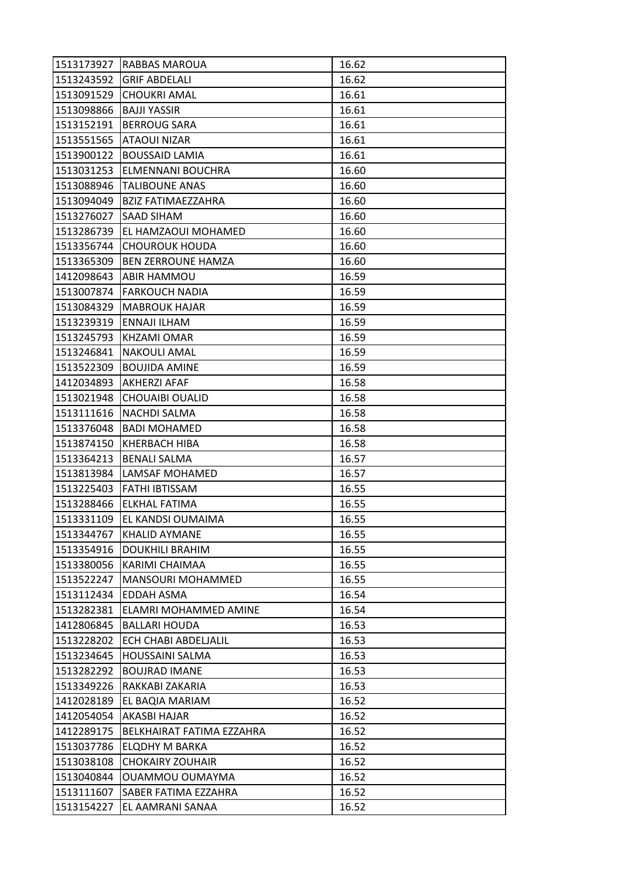| 1513173927 | <b>RABBAS MAROUA</b>      | 16.62 |
|------------|---------------------------|-------|
| 1513243592 | <b>GRIF ABDELALI</b>      | 16.62 |
| 1513091529 | <b>CHOUKRI AMAL</b>       | 16.61 |
| 1513098866 | <b>BAJJI YASSIR</b>       | 16.61 |
| 1513152191 | <b>BERROUG SARA</b>       | 16.61 |
| 1513551565 | ATAOUI NIZAR              | 16.61 |
| 1513900122 | <b>BOUSSAID LAMIA</b>     | 16.61 |
| 1513031253 | ELMENNANI BOUCHRA         | 16.60 |
| 1513088946 | <b>TALIBOUNE ANAS</b>     | 16.60 |
| 1513094049 | BZIZ FATIMAEZZAHRA        | 16.60 |
| 1513276027 | <b>SAAD SIHAM</b>         | 16.60 |
| 1513286739 | EL HAMZAOUI MOHAMED       | 16.60 |
| 1513356744 | <b>CHOUROUK HOUDA</b>     | 16.60 |
| 1513365309 | <b>BEN ZERROUNE HAMZA</b> | 16.60 |
| 1412098643 | <b>ABIR HAMMOU</b>        | 16.59 |
| 1513007874 | <b>FARKOUCH NADIA</b>     | 16.59 |
| 1513084329 | <b>MABROUK HAJAR</b>      | 16.59 |
| 1513239319 | ENNAJI ILHAM              | 16.59 |
| 1513245793 | <b>KHZAMI OMAR</b>        | 16.59 |
| 1513246841 | <b>NAKOULI AMAL</b>       | 16.59 |
| 1513522309 | <b>BOUJIDA AMINE</b>      | 16.59 |
| 1412034893 | AKHERZI AFAF              | 16.58 |
| 1513021948 | <b>CHOUAIBI OUALID</b>    | 16.58 |
| 1513111616 | <b>NACHDI SALMA</b>       | 16.58 |
| 1513376048 | <b>BADI MOHAMED</b>       | 16.58 |
| 1513874150 | <b>KHERBACH HIBA</b>      | 16.58 |
| 1513364213 | <b>BENALI SALMA</b>       | 16.57 |
| 1513813984 | <b>LAMSAF MOHAMED</b>     | 16.57 |
| 1513225403 | FATHI IBTISSAM            | 16.55 |
| 1513288466 | ELKHAL FATIMA             | 16.55 |
| 1513331109 | EL KANDSI OUMAIMA         | 16.55 |
| 1513344767 | <b>KHALID AYMANE</b>      | 16.55 |
| 1513354916 | <b>DOUKHILI BRAHIM</b>    | 16.55 |
| 1513380056 | KARIMI CHAIMAA            | 16.55 |
| 1513522247 | MANSOURI MOHAMMED         | 16.55 |
| 1513112434 | EDDAH ASMA                | 16.54 |
| 1513282381 | ELAMRI MOHAMMED AMINE     | 16.54 |
| 1412806845 | <b>BALLARI HOUDA</b>      | 16.53 |
| 1513228202 | ECH CHABI ABDELJALIL      | 16.53 |
| 1513234645 | HOUSSAINI SALMA           | 16.53 |
| 1513282292 | <b>BOUJRAD IMANE</b>      | 16.53 |
| 1513349226 | RAKKABI ZAKARIA           | 16.53 |
| 1412028189 | EL BAQIA MARIAM           | 16.52 |
| 1412054054 | AKASBI HAJAR              | 16.52 |
| 1412289175 | BELKHAIRAT FATIMA EZZAHRA | 16.52 |
| 1513037786 | ELQDHY M BARKA            | 16.52 |
| 1513038108 | <b>CHOKAIRY ZOUHAIR</b>   | 16.52 |
| 1513040844 | <b>OUAMMOU OUMAYMA</b>    | 16.52 |
| 1513111607 | SABER FATIMA EZZAHRA      | 16.52 |
| 1513154227 | EL AAMRANI SANAA          | 16.52 |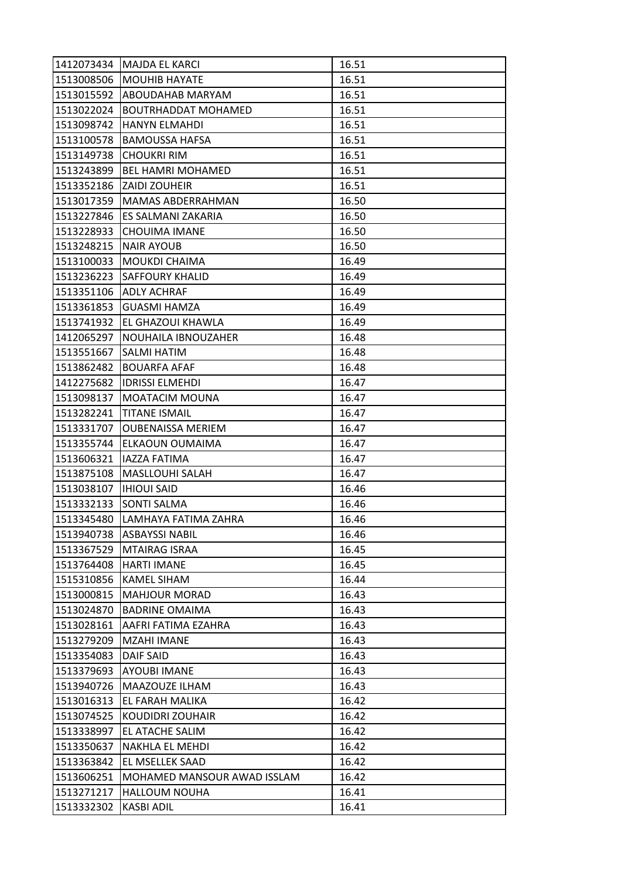| 1412073434 | <b>MAJDA EL KARCI</b>       | 16.51 |
|------------|-----------------------------|-------|
| 1513008506 | <b>MOUHIB HAYATE</b>        | 16.51 |
| 1513015592 | ABOUDAHAB MARYAM            | 16.51 |
| 1513022024 | <b>BOUTRHADDAT MOHAMED</b>  | 16.51 |
| 1513098742 | <b>HANYN ELMAHDI</b>        | 16.51 |
| 1513100578 | <b>BAMOUSSA HAFSA</b>       | 16.51 |
| 1513149738 | <b>CHOUKRI RIM</b>          | 16.51 |
| 1513243899 | <b>BEL HAMRI MOHAMED</b>    | 16.51 |
| 1513352186 | <b>ZAIDI ZOUHEIR</b>        | 16.51 |
| 1513017359 | MAMAS ABDERRAHMAN           | 16.50 |
| 1513227846 | ES SALMANI ZAKARIA          | 16.50 |
| 1513228933 | <b>CHOUIMA IMANE</b>        | 16.50 |
| 1513248215 | <b>NAIR AYOUB</b>           | 16.50 |
| 1513100033 | MOUKDI CHAIMA               | 16.49 |
| 1513236223 | <b>SAFFOURY KHALID</b>      | 16.49 |
|            | 1513351106 ADLY ACHRAF      | 16.49 |
| 1513361853 | <b>GUASMI HAMZA</b>         | 16.49 |
| 1513741932 | EL GHAZOUI KHAWLA           | 16.49 |
| 1412065297 | NOUHAILA IBNOUZAHER         | 16.48 |
| 1513551667 | SALMI HATIM                 | 16.48 |
| 1513862482 | <b>BOUARFA AFAF</b>         | 16.48 |
| 1412275682 | <b>IDRISSI ELMEHDI</b>      | 16.47 |
| 1513098137 | MOATACIM MOUNA              | 16.47 |
| 1513282241 | <b>TITANE ISMAIL</b>        | 16.47 |
| 1513331707 | <b>OUBENAISSA MERIEM</b>    | 16.47 |
| 1513355744 | <b>ELKAOUN OUMAIMA</b>      | 16.47 |
| 1513606321 | <b>IAZZA FATIMA</b>         | 16.47 |
| 1513875108 | MASLLOUHI SALAH             | 16.47 |
| 1513038107 | <b>IHIOUI SAID</b>          | 16.46 |
| 1513332133 | <b>SONTI SALMA</b>          | 16.46 |
| 1513345480 | LAMHAYA FATIMA ZAHRA        | 16.46 |
| 1513940738 | <b>ASBAYSSI NABIL</b>       | 16.46 |
| 1513367529 | <b>MTAIRAG ISRAA</b>        | 16.45 |
| 1513764408 | <b>HARTI IMANE</b>          | 16.45 |
| 1515310856 | <b>KAMEL SIHAM</b>          | 16.44 |
| 1513000815 | <b>MAHJOUR MORAD</b>        | 16.43 |
| 1513024870 | <b>BADRINE OMAIMA</b>       | 16.43 |
| 1513028161 | AAFRI FATIMA EZAHRA         | 16.43 |
| 1513279209 | <b>MZAHI IMANE</b>          | 16.43 |
| 1513354083 | <b>DAIF SAID</b>            | 16.43 |
| 1513379693 | <b>AYOUBI IMANE</b>         | 16.43 |
| 1513940726 | MAAZOUZE ILHAM              | 16.43 |
| 1513016313 | EL FARAH MALIKA             | 16.42 |
| 1513074525 | KOUDIDRI ZOUHAIR            | 16.42 |
| 1513338997 | EL ATACHE SALIM             | 16.42 |
| 1513350637 | NAKHLA EL MEHDI             | 16.42 |
| 1513363842 | EL MSELLEK SAAD             | 16.42 |
| 1513606251 | MOHAMED MANSOUR AWAD ISSLAM | 16.42 |
| 1513271217 | <b>HALLOUM NOUHA</b>        | 16.41 |
| 1513332302 | <b>KASBI ADIL</b>           | 16.41 |
|            |                             |       |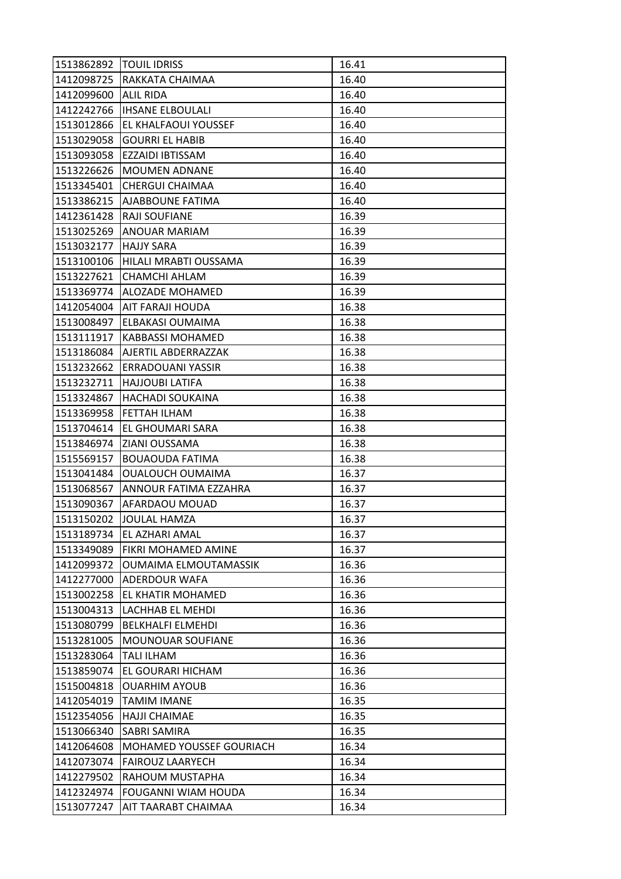|                          | 1513862892   TOUIL IDRISS       | 16.41          |
|--------------------------|---------------------------------|----------------|
| 1412098725               | RAKKATA CHAIMAA                 | 16.40          |
| 1412099600               | <b>ALIL RIDA</b>                | 16.40          |
| 1412242766               | <b>IHSANE ELBOULALI</b>         | 16.40          |
| 1513012866               | <b>EL KHALFAOUI YOUSSEF</b>     | 16.40          |
| 1513029058               | <b>GOURRI EL HABIB</b>          | 16.40          |
| 1513093058               | EZZAIDI IBTISSAM                | 16.40          |
| 1513226626               | <b>MOUMEN ADNANE</b>            | 16.40          |
| 1513345401               | <b>CHERGUI CHAIMAA</b>          | 16.40          |
| 1513386215               | AJABBOUNE FATIMA                | 16.40          |
| 1412361428               | RAJI SOUFIANE                   | 16.39          |
| 1513025269               | <b>ANOUAR MARIAM</b>            | 16.39          |
| 1513032177               | <b>HAJJY SARA</b>               | 16.39          |
| 1513100106               | HILALI MRABTI OUSSAMA           | 16.39          |
| 1513227621               | CHAMCHI AHLAM                   | 16.39          |
| 1513369774               | <b>ALOZADE MOHAMED</b>          | 16.39          |
| 1412054004               | AIT FARAJI HOUDA                | 16.38          |
| 1513008497               | ELBAKASI OUMAIMA                | 16.38          |
| 1513111917               | <b>KABBASSI MOHAMED</b>         | 16.38          |
| 1513186084               | AJERTIL ABDERRAZZAK             | 16.38          |
| 1513232662               | ERRADOUANI YASSIR               | 16.38          |
| 1513232711               | <b>HAJJOUBI LATIFA</b>          | 16.38          |
| 1513324867               | <b>HACHADI SOUKAINA</b>         | 16.38          |
| 1513369958               | FETTAH ILHAM                    | 16.38          |
| 1513704614               | EL GHOUMARI SARA                | 16.38          |
| 1513846974               | ZIANI OUSSAMA                   | 16.38          |
| 1515569157               | <b>BOUAOUDA FATIMA</b>          | 16.38          |
| 1513041484               | <b>OUALOUCH OUMAIMA</b>         | 16.37          |
| 1513068567               | ANNOUR FATIMA EZZAHRA           | 16.37          |
| 1513090367               | AFARDAOU MOUAD                  | 16.37          |
| 1513150202               | <b>JOULAL HAMZA</b>             | 16.37          |
| 1513189734               | EL AZHARI AMAL                  | 16.37          |
| 1513349089               | FIKRI MOHAMED AMINE             | 16.37          |
| 1412099372               | <b>OUMAIMA ELMOUTAMASSIK</b>    | 16.36          |
| 1412277000               | ADERDOUR WAFA                   | 16.36          |
| 1513002258               | EL KHATIR MOHAMED               | 16.36          |
| 1513004313               | LACHHAB EL MEHDI                | 16.36          |
| 1513080799               | <b>BELKHALFI ELMEHDI</b>        | 16.36          |
| 1513281005               | <b>MOUNOUAR SOUFIANE</b>        | 16.36          |
| 1513283064               | <b>TALI ILHAM</b>               | 16.36          |
| 1513859074               | EL GOURARI HICHAM               | 16.36          |
| 1515004818               | <b>OUARHIM AYOUB</b>            | 16.36          |
| 1412054019               | <b>TAMIM IMANE</b>              | 16.35          |
| 1512354056               | <b>HAJJI CHAIMAE</b>            | 16.35          |
| 1513066340               | <b>SABRI SAMIRA</b>             | 16.35          |
| 1412064608               | <b>MOHAMED YOUSSEF GOURIACH</b> | 16.34          |
| 1412073074               |                                 |                |
|                          | <b>FAIROUZ LAARYECH</b>         | 16.34          |
| 1412279502               | RAHOUM MUSTAPHA                 | 16.34          |
| 1412324974<br>1513077247 | FOUGANNI WIAM HOUDA             | 16.34<br>16.34 |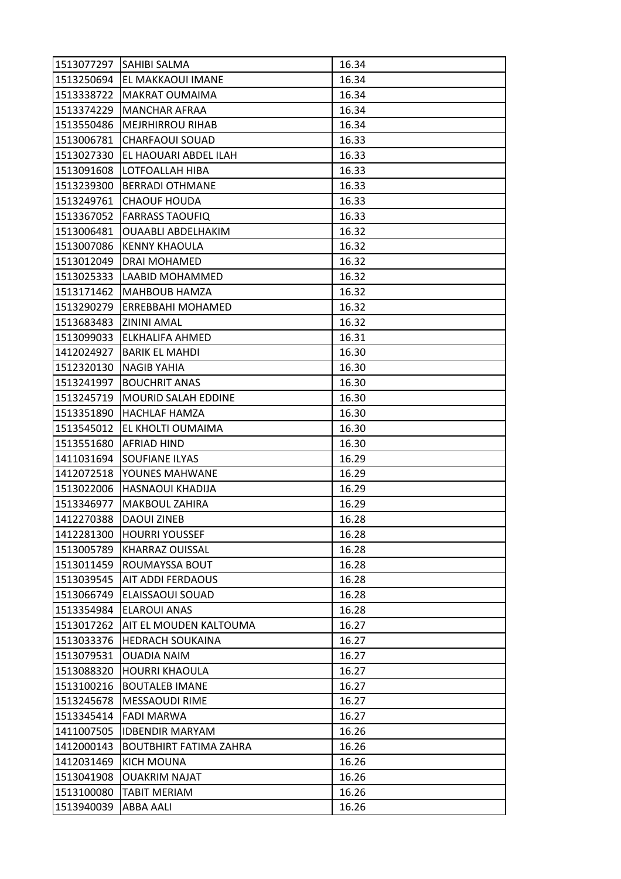| 1513077297 | <b>SAHIBI SALMA</b>           | 16.34 |
|------------|-------------------------------|-------|
|            | 1513250694 EL MAKKAOUI IMANE  | 16.34 |
| 1513338722 | <b>MAKRAT OUMAIMA</b>         | 16.34 |
| 1513374229 | <b>MANCHAR AFRAA</b>          | 16.34 |
| 1513550486 | <b>MEJRHIRROU RIHAB</b>       | 16.34 |
| 1513006781 | <b>CHARFAOUI SOUAD</b>        | 16.33 |
| 1513027330 | EL HAOUARI ABDEL ILAH         | 16.33 |
| 1513091608 | LOTFOALLAH HIBA               | 16.33 |
| 1513239300 | <b>BERRADI OTHMANE</b>        | 16.33 |
| 1513249761 | <b>CHAOUF HOUDA</b>           | 16.33 |
| 1513367052 | <b>FARRASS TAOUFIQ</b>        | 16.33 |
| 1513006481 | <b>OUAABLI ABDELHAKIM</b>     | 16.32 |
| 1513007086 | <b>KENNY KHAOULA</b>          | 16.32 |
| 1513012049 | DRAI MOHAMED                  | 16.32 |
| 1513025333 | LAABID MOHAMMED               | 16.32 |
|            | 1513171462   MAHBOUB HAMZA    | 16.32 |
| 1513290279 | <b>ERREBBAHI MOHAMED</b>      | 16.32 |
| 1513683483 | ZININI AMAL                   | 16.32 |
| 1513099033 | <b>ELKHALIFA AHMED</b>        | 16.31 |
| 1412024927 | <b>BARIK EL MAHDI</b>         | 16.30 |
| 1512320130 | <b>NAGIB YAHIA</b>            | 16.30 |
| 1513241997 | <b>BOUCHRIT ANAS</b>          | 16.30 |
| 1513245719 | MOURID SALAH EDDINE           | 16.30 |
| 1513351890 | <b>HACHLAF HAMZA</b>          | 16.30 |
| 1513545012 | EL KHOLTI OUMAIMA             | 16.30 |
| 1513551680 | <b>AFRIAD HIND</b>            | 16.30 |
| 1411031694 | SOUFIANE ILYAS                | 16.29 |
| 1412072518 | YOUNES MAHWANE                | 16.29 |
| 1513022006 | HASNAOUI KHADIJA              | 16.29 |
| 1513346977 | MAKBOUL ZAHIRA                | 16.29 |
| 1412270388 | <b>DAOUI ZINEB</b>            | 16.28 |
| 1412281300 | <b>HOURRI YOUSSEF</b>         | 16.28 |
| 1513005789 | <b>KHARRAZ OUISSAL</b>        | 16.28 |
| 1513011459 | ROUMAYSSA BOUT                | 16.28 |
| 1513039545 | <b>AIT ADDI FERDAOUS</b>      | 16.28 |
| 1513066749 | ELAISSAOUI SOUAD              | 16.28 |
| 1513354984 | <b>ELAROUI ANAS</b>           | 16.28 |
| 1513017262 | <b>AIT EL MOUDEN KALTOUMA</b> | 16.27 |
| 1513033376 | <b>HEDRACH SOUKAINA</b>       | 16.27 |
| 1513079531 | <b>OUADIA NAIM</b>            | 16.27 |
| 1513088320 | <b>HOURRI KHAOULA</b>         | 16.27 |
| 1513100216 | <b>BOUTALEB IMANE</b>         | 16.27 |
| 1513245678 | <b>MESSAOUDI RIME</b>         | 16.27 |
| 1513345414 | <b>FADI MARWA</b>             | 16.27 |
| 1411007505 | <b>IDBENDIR MARYAM</b>        | 16.26 |
| 1412000143 | <b>BOUTBHIRT FATIMA ZAHRA</b> | 16.26 |
| 1412031469 | <b>KICH MOUNA</b>             | 16.26 |
| 1513041908 | <b>OUAKRIM NAJAT</b>          | 16.26 |
| 1513100080 | <b>TABIT MERIAM</b>           | 16.26 |
| 1513940039 | <b>ABBA AALI</b>              | 16.26 |
|            |                               |       |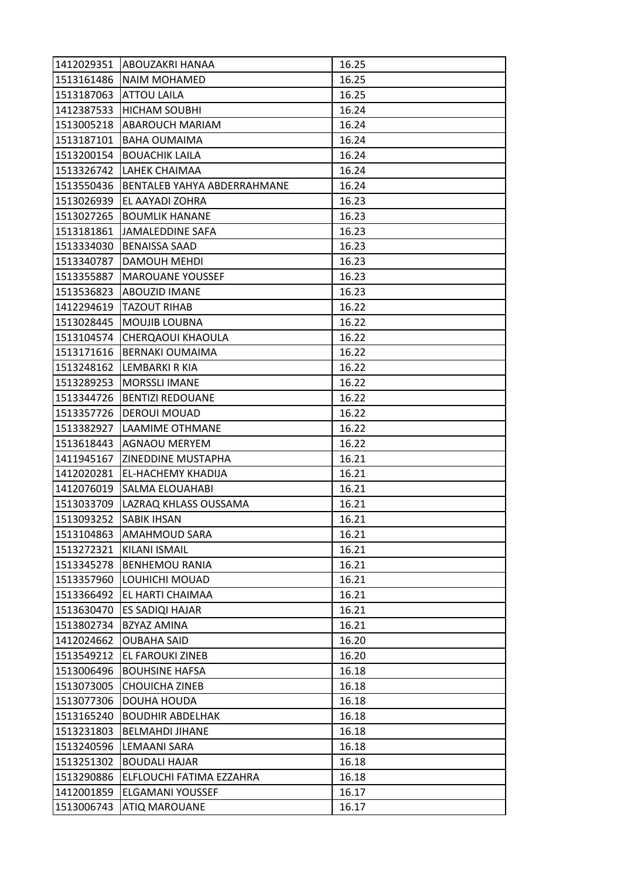|            | 1412029351 ABOUZAKRI HANAA  | 16.25 |
|------------|-----------------------------|-------|
| 1513161486 | <b>NAIM MOHAMED</b>         | 16.25 |
| 1513187063 | <b>ATTOU LAILA</b>          | 16.25 |
| 1412387533 | <b>HICHAM SOUBHI</b>        | 16.24 |
| 1513005218 | <b>ABAROUCH MARIAM</b>      | 16.24 |
| 1513187101 | <b>BAHA OUMAIMA</b>         | 16.24 |
| 1513200154 | <b>BOUACHIK LAILA</b>       | 16.24 |
| 1513326742 | LAHEK CHAIMAA               | 16.24 |
| 1513550436 | BENTALEB YAHYA ABDERRAHMANE | 16.24 |
| 1513026939 | EL AAYADI ZOHRA             | 16.23 |
| 1513027265 | <b>BOUMLIK HANANE</b>       | 16.23 |
| 1513181861 | JAMALEDDINE SAFA            | 16.23 |
| 1513334030 | <b>BENAISSA SAAD</b>        | 16.23 |
| 1513340787 | <b>DAMOUH MEHDI</b>         | 16.23 |
| 1513355887 | <b>MAROUANE YOUSSEF</b>     | 16.23 |
| 1513536823 | <b>ABOUZID IMANE</b>        | 16.23 |
| 1412294619 | <b>TAZOUT RIHAB</b>         | 16.22 |
| 1513028445 | MOUJIB LOUBNA               | 16.22 |
| 1513104574 | <b>CHERQAOUI KHAOULA</b>    | 16.22 |
| 1513171616 | <b>BERNAKI OUMAIMA</b>      | 16.22 |
| 1513248162 | LEMBARKI R KIA              | 16.22 |
| 1513289253 | <b>MORSSLI IMANE</b>        | 16.22 |
| 1513344726 | <b>BENTIZI REDOUANE</b>     | 16.22 |
| 1513357726 | <b>DEROUI MOUAD</b>         | 16.22 |
| 1513382927 | LAAMIME OTHMANE             | 16.22 |
| 1513618443 | AGNAOU MERYEM               | 16.22 |
| 1411945167 | ZINEDDINE MUSTAPHA          | 16.21 |
| 1412020281 | EL-HACHEMY KHADIJA          | 16.21 |
| 1412076019 | SALMA ELOUAHABI             | 16.21 |
| 1513033709 | LAZRAQ KHLASS OUSSAMA       | 16.21 |
| 1513093252 | SABIK IHSAN                 | 16.21 |
| 1513104863 | AMAHMOUD SARA               | 16.21 |
| 1513272321 | KILANI ISMAIL               | 16.21 |
| 1513345278 | <b>BENHEMOU RANIA</b>       | 16.21 |
| 1513357960 | LOUHICHI MOUAD              | 16.21 |
| 1513366492 | EL HARTI CHAIMAA            | 16.21 |
| 1513630470 | ES SADIQI HAJAR             | 16.21 |
| 1513802734 | BZYAZ AMINA                 | 16.21 |
| 1412024662 | <b>OUBAHA SAID</b>          | 16.20 |
| 1513549212 | EL FAROUKI ZINEB            | 16.20 |
| 1513006496 | <b>BOUHSINE HAFSA</b>       | 16.18 |
| 1513073005 | <b>CHOUICHA ZINEB</b>       | 16.18 |
| 1513077306 | DOUHA HOUDA                 | 16.18 |
| 1513165240 | <b>BOUDHIR ABDELHAK</b>     | 16.18 |
| 1513231803 | <b>BELMAHDI JIHANE</b>      | 16.18 |
| 1513240596 | LEMAANI SARA                | 16.18 |
| 1513251302 | <b>BOUDALI HAJAR</b>        | 16.18 |
| 1513290886 | ELFLOUCHI FATIMA EZZAHRA    | 16.18 |
| 1412001859 | <b>ELGAMANI YOUSSEF</b>     | 16.17 |
| 1513006743 | <b>ATIQ MAROUANE</b>        | 16.17 |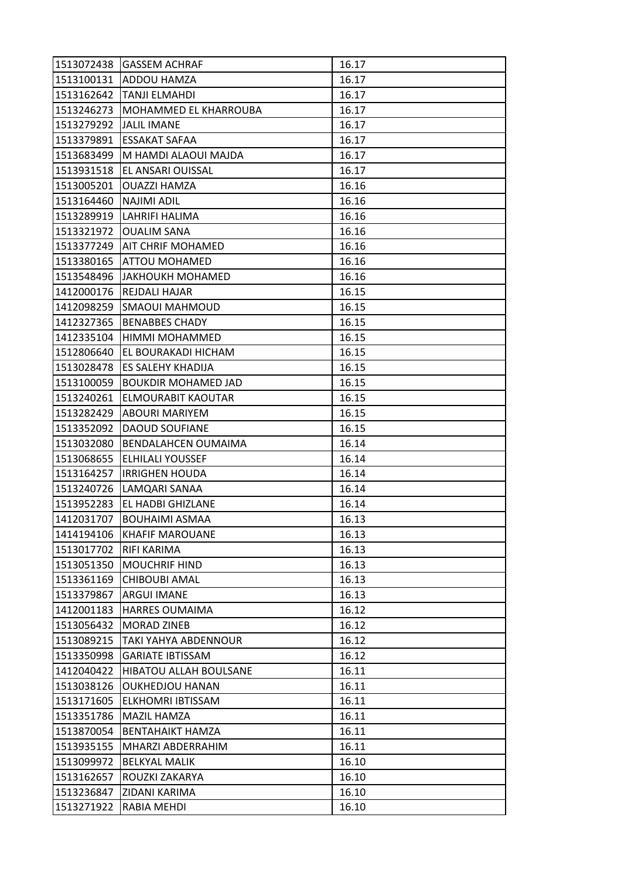| 1513072438 | <b>GASSEM ACHRAF</b>          | 16.17 |
|------------|-------------------------------|-------|
|            | 1513100131 ADDOU HAMZA        | 16.17 |
| 1513162642 | TANJI ELMAHDI                 | 16.17 |
| 1513246273 | MOHAMMED EL KHARROUBA         | 16.17 |
| 1513279292 | <b>JALIL IMANE</b>            | 16.17 |
| 1513379891 | ESSAKAT SAFAA                 | 16.17 |
| 1513683499 | M HAMDI ALAOUI MAJDA          | 16.17 |
| 1513931518 | EL ANSARI OUISSAL             | 16.17 |
| 1513005201 | <b>OUAZZI HAMZA</b>           | 16.16 |
| 1513164460 | <b>NAJIMI ADIL</b>            | 16.16 |
| 1513289919 | <b>LAHRIFI HALIMA</b>         | 16.16 |
| 1513321972 | <b>OUALIM SANA</b>            | 16.16 |
| 1513377249 | <b>AIT CHRIF MOHAMED</b>      | 16.16 |
| 1513380165 | <b>ATTOU MOHAMED</b>          | 16.16 |
| 1513548496 | <b>JAKHOUKH MOHAMED</b>       | 16.16 |
| 1412000176 | <b>REJDALI HAJAR</b>          | 16.15 |
| 1412098259 | <b>SMAOUI MAHMOUD</b>         | 16.15 |
| 1412327365 | <b>BENABBES CHADY</b>         | 16.15 |
| 1412335104 | HIMMI MOHAMMED                | 16.15 |
| 1512806640 | EL BOURAKADI HICHAM           | 16.15 |
| 1513028478 | <b>ES SALEHY KHADIJA</b>      | 16.15 |
| 1513100059 | <b>BOUKDIR MOHAMED JAD</b>    | 16.15 |
| 1513240261 | <b>ELMOURABIT KAOUTAR</b>     | 16.15 |
| 1513282429 | <b>ABOURI MARIYEM</b>         | 16.15 |
| 1513352092 | DAOUD SOUFIANE                | 16.15 |
| 1513032080 | <b>BENDALAHCEN OUMAIMA</b>    | 16.14 |
| 1513068655 | ELHILALI YOUSSEF              | 16.14 |
| 1513164257 | <b>IRRIGHEN HOUDA</b>         | 16.14 |
| 1513240726 | LAMQARI SANAA                 | 16.14 |
| 1513952283 | EL HADBI GHIZLANE             | 16.14 |
| 1412031707 | <b>BOUHAIMI ASMAA</b>         | 16.13 |
| 1414194106 | <b>KHAFIF MAROUANE</b>        | 16.13 |
| 1513017702 | RIFI KARIMA                   | 16.13 |
| 1513051350 | <b>MOUCHRIF HIND</b>          | 16.13 |
| 1513361169 | <b>CHIBOUBI AMAL</b>          | 16.13 |
| 1513379867 | ARGUI IMANE                   | 16.13 |
| 1412001183 | <b>HARRES OUMAIMA</b>         | 16.12 |
| 1513056432 | <b>MORAD ZINEB</b>            | 16.12 |
| 1513089215 | TAKI YAHYA ABDENNOUR          | 16.12 |
| 1513350998 | <b>GARIATE IBTISSAM</b>       | 16.12 |
| 1412040422 | <b>HIBATOU ALLAH BOULSANE</b> | 16.11 |
| 1513038126 | <b>OUKHEDJOU HANAN</b>        | 16.11 |
| 1513171605 | ELKHOMRI IBTISSAM             | 16.11 |
| 1513351786 | <b>MAZIL HAMZA</b>            | 16.11 |
| 1513870054 | <b>BENTAHAIKT HAMZA</b>       | 16.11 |
| 1513935155 | MHARZI ABDERRAHIM             | 16.11 |
| 1513099972 | <b>BELKYAL MALIK</b>          | 16.10 |
| 1513162657 | ROUZKI ZAKARYA                | 16.10 |
| 1513236847 |                               |       |
|            | ZIDANI KARIMA                 | 16.10 |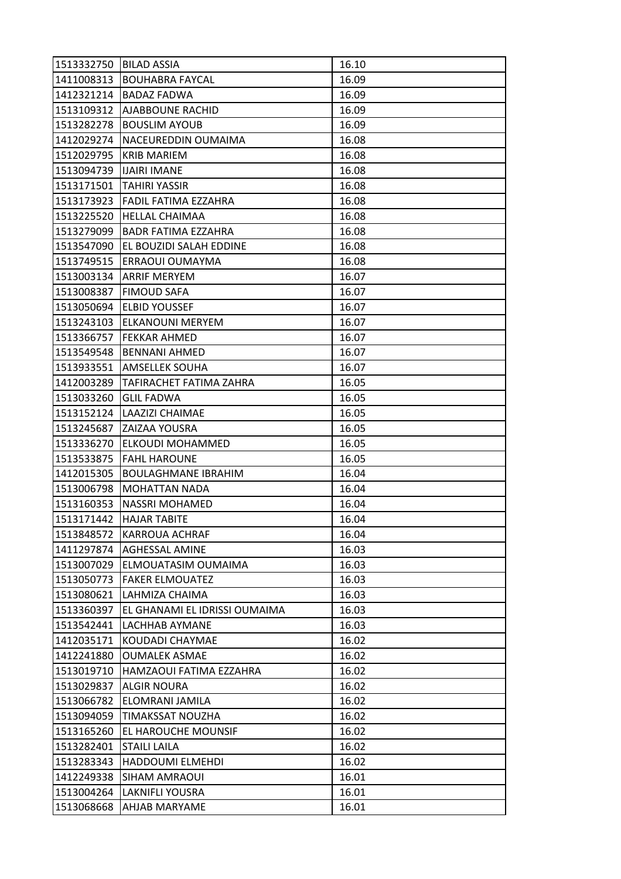| 1513332750 BILAD ASSIA |                               | 16.10 |
|------------------------|-------------------------------|-------|
| 1411008313             | <b>BOUHABRA FAYCAL</b>        | 16.09 |
| 1412321214             | <b>BADAZ FADWA</b>            | 16.09 |
| 1513109312             | AJABBOUNE RACHID              | 16.09 |
| 1513282278             | <b>BOUSLIM AYOUB</b>          | 16.09 |
| 1412029274             | NACEUREDDIN OUMAIMA           | 16.08 |
| 1512029795             | <b>KRIB MARIEM</b>            | 16.08 |
| 1513094739             | <b>IJAIRI IMANE</b>           | 16.08 |
| 1513171501             | <b>TAHIRI YASSIR</b>          | 16.08 |
| 1513173923             | FADIL FATIMA EZZAHRA          | 16.08 |
| 1513225520             | <b>HELLAL CHAIMAA</b>         | 16.08 |
| 1513279099             | <b>BADR FATIMA EZZAHRA</b>    | 16.08 |
| 1513547090             | EL BOUZIDI SALAH EDDINE       | 16.08 |
| 1513749515             | ERRAOUI OUMAYMA               | 16.08 |
| 1513003134             | <b>ARRIF MERYEM</b>           | 16.07 |
| 1513008387             | <b>FIMOUD SAFA</b>            | 16.07 |
| 1513050694             | <b>ELBID YOUSSEF</b>          | 16.07 |
| 1513243103             | ELKANOUNI MERYEM              | 16.07 |
| 1513366757             | <b>FEKKAR AHMED</b>           | 16.07 |
| 1513549548             | <b>BENNANI AHMED</b>          | 16.07 |
|                        | 1513933551 AMSELLEK SOUHA     | 16.07 |
| 1412003289             | TAFIRACHET FATIMA ZAHRA       | 16.05 |
| 1513033260             | <b>GLIL FADWA</b>             | 16.05 |
| 1513152124             | LAAZIZI CHAIMAE               | 16.05 |
| 1513245687             | ZAIZAA YOUSRA                 | 16.05 |
| 1513336270             | ELKOUDI MOHAMMED              | 16.05 |
| 1513533875             | <b>FAHL HAROUNE</b>           | 16.05 |
| 1412015305             | <b>BOULAGHMANE IBRAHIM</b>    | 16.04 |
| 1513006798             | <b>MOHATTAN NADA</b>          | 16.04 |
| 1513160353             | <b>NASSRI MOHAMED</b>         | 16.04 |
| 1513171442             | <b>HAJAR TABITE</b>           | 16.04 |
| 1513848572             | <b>KARROUA ACHRAF</b>         | 16.04 |
| 1411297874             | <b>AGHESSAL AMINE</b>         | 16.03 |
| 1513007029             | ELMOUATASIM OUMAIMA           | 16.03 |
| 1513050773             | <b>FAKER ELMOUATEZ</b>        | 16.03 |
| 1513080621             | LAHMIZA CHAIMA                | 16.03 |
| 1513360397             | EL GHANAMI EL IDRISSI OUMAIMA | 16.03 |
| 1513542441             | LACHHAB AYMANE                | 16.03 |
| 1412035171             | KOUDADI CHAYMAE               | 16.02 |
| 1412241880             | <b>OUMALEK ASMAE</b>          | 16.02 |
| 1513019710             | HAMZAOUI FATIMA EZZAHRA       | 16.02 |
| 1513029837             | <b>ALGIR NOURA</b>            | 16.02 |
| 1513066782             | ELOMRANI JAMILA               | 16.02 |
| 1513094059             | TIMAKSSAT NOUZHA              | 16.02 |
| 1513165260             | EL HAROUCHE MOUNSIF           | 16.02 |
| 1513282401             | STAILI LAILA                  | 16.02 |
| 1513283343             | HADDOUMI ELMEHDI              | 16.02 |
| 1412249338             | SIHAM AMRAOUI                 | 16.01 |
| 1513004264             | <b>LAKNIFLI YOUSRA</b>        | 16.01 |
| 1513068668             | AHJAB MARYAME                 | 16.01 |
|                        |                               |       |